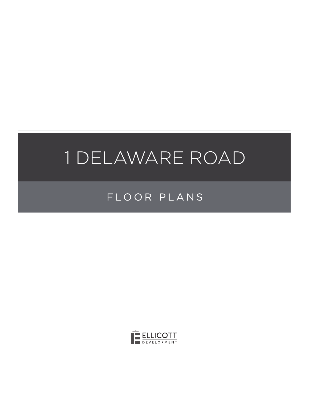# FLOOR PLANS

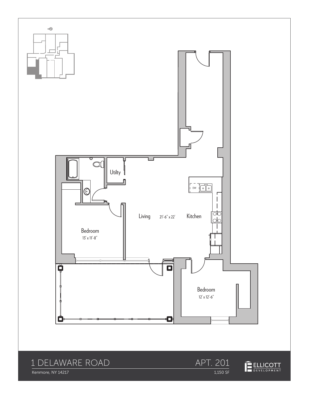

Kenmore, NY 14217

1,150 SF

ELLICOTT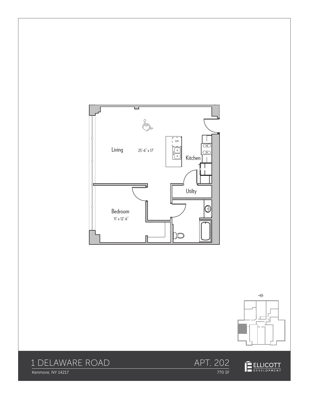







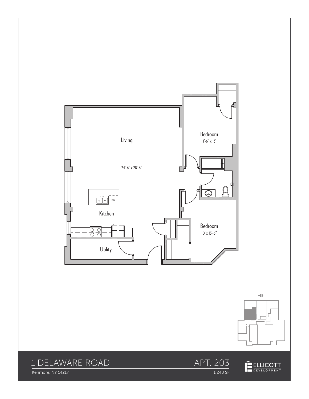





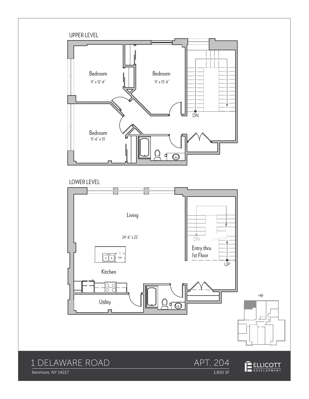

Kenmore, NY 14217

#### $\frac{1}{1,850}$  SF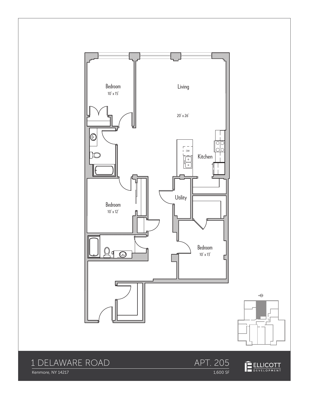





#### APT. 205 1,600 SF

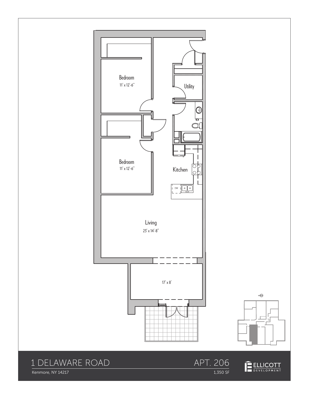



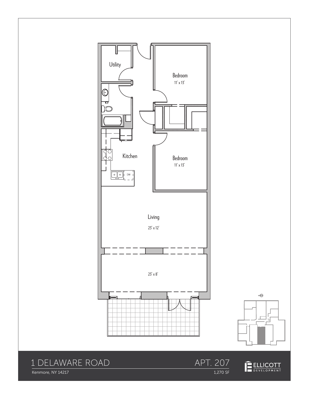





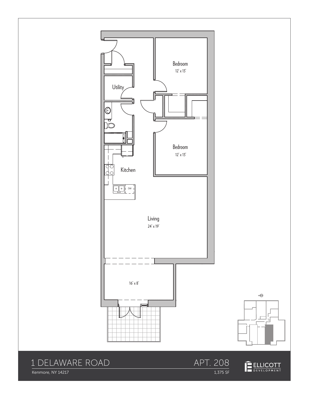

Kenmore, NY 14217

APT. 208 1,375 SF

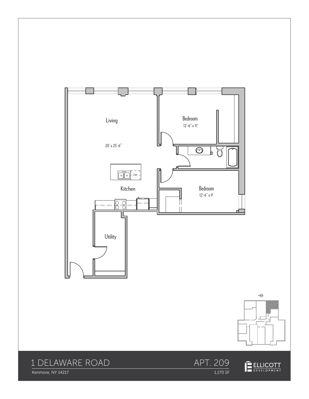





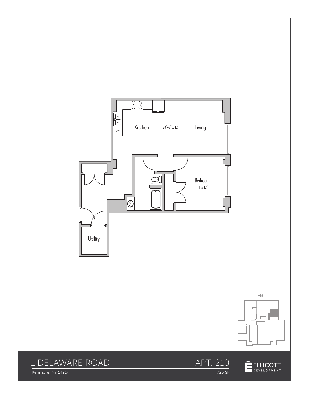





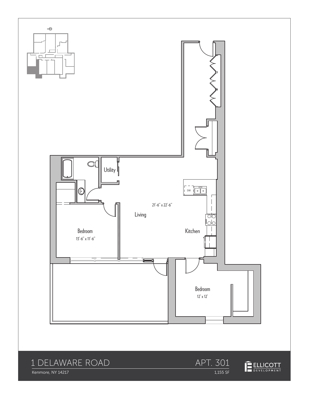



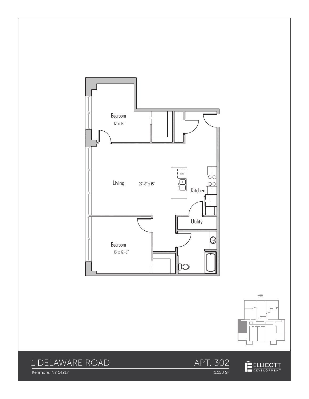



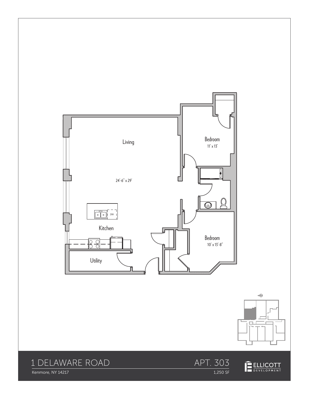



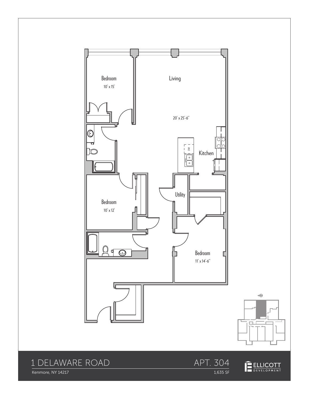







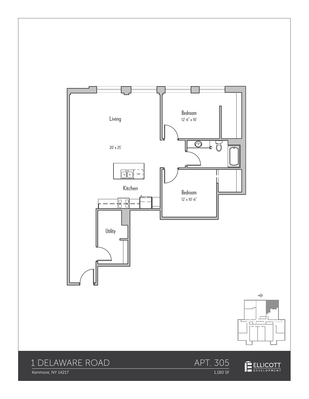



APT. 305

1,180 SF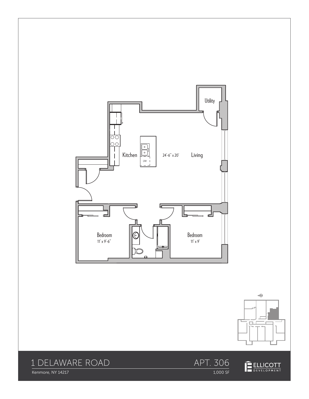





Kenmore, NY 14217

APT. 306 1,000 SF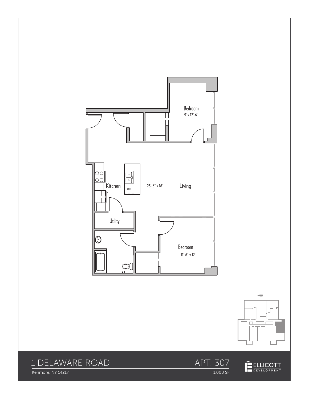





Kenmore, NY 14217

1,000 SF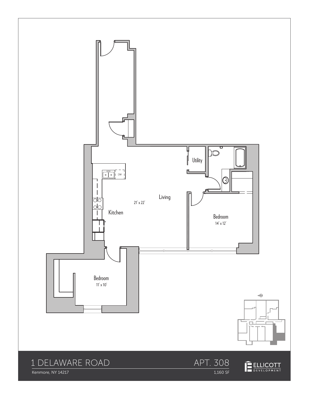

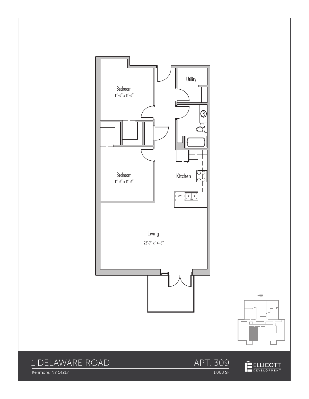



1,060 SF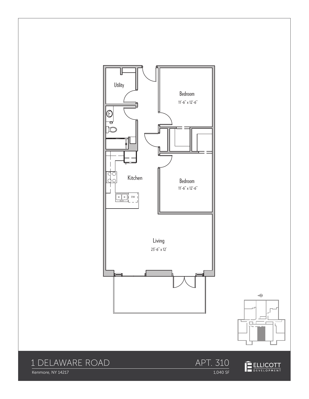



上

Kenmore, NY 14217

APT. 310 1,040 SF